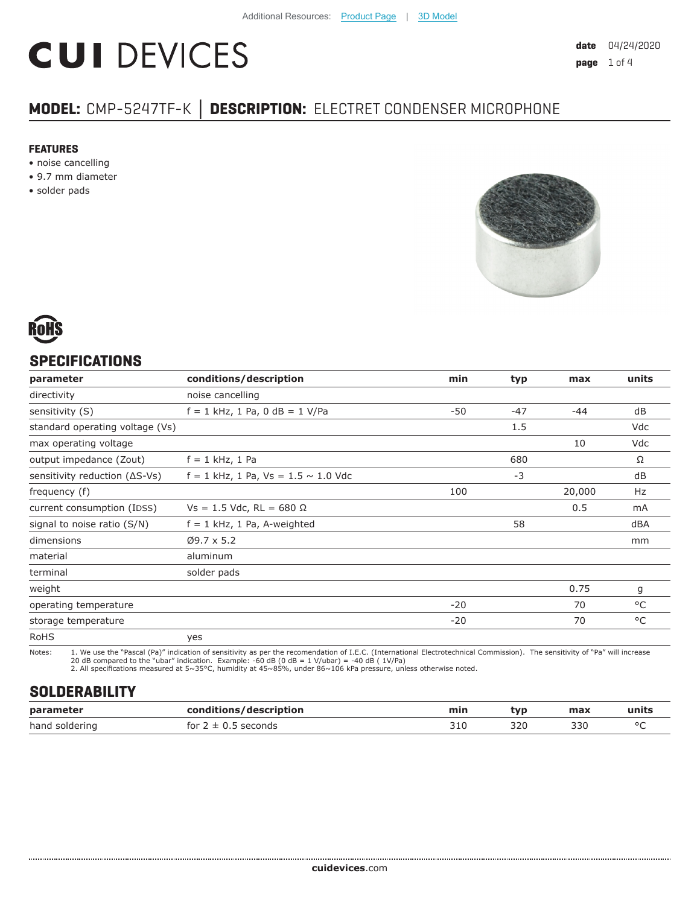# **CUI DEVICES**

# **MODEL:** CMP-5247TF-K **│ DESCRIPTION:** ELECTRET CONDENSER MICROPHONE

#### **FEATURES**

- noise cancelling
- 9.7 mm diameter
- solder pads





### **SPECIFICATIONS**

| parameter                               | conditions/description                     | min   | typ   | max    | units |
|-----------------------------------------|--------------------------------------------|-------|-------|--------|-------|
| directivity                             | noise cancelling                           |       |       |        |       |
| sensitivity (S)                         | $f = 1$ kHz, 1 Pa, 0 dB = 1 V/Pa           | -50   | $-47$ | $-44$  | dB    |
| standard operating voltage (Vs)         |                                            |       | 1.5   |        | Vdc   |
| max operating voltage                   |                                            |       |       | 10     | Vdc   |
| output impedance (Zout)                 | $f = 1$ kHz, 1 Pa                          |       | 680   |        | Ω     |
| sensitivity reduction $( \Delta S$ -Vs) | $f = 1$ kHz, 1 Pa, Vs = 1.5 $\sim$ 1.0 Vdc |       | $-3$  |        | dB    |
| frequency (f)                           |                                            | 100   |       | 20,000 | Hz    |
| current consumption (IDSS)              | $Vs = 1.5$ Vdc, RL = 680 $\Omega$          |       |       | 0.5    | mA    |
| signal to noise ratio (S/N)             | $f = 1$ kHz, 1 Pa, A-weighted              |       | 58    |        | dBA   |
| dimensions                              | $Ø9.7 \times 5.2$                          |       |       |        | mm    |
| material                                | aluminum                                   |       |       |        |       |
| terminal                                | solder pads                                |       |       |        |       |
| weight                                  |                                            |       |       | 0.75   | g     |
| operating temperature                   |                                            | $-20$ |       | 70     | °C    |
| storage temperature                     |                                            | $-20$ |       | 70     | °C    |
| <b>RoHS</b>                             | yes                                        |       |       |        |       |

Notes: 1. We use the "Pascal (Pa)" indication of sensitivity as per the recomendation of I.E.C. (International Electrotechnical Commission). The sensitivity of "Pa" will increase

20 dB compared to the "ubar" indication. Example: -60 dB (0 dB = 1 V/ubar) = -40 dB ( 1V/Pa) 2. All specifications measured at 5~35°C, humidity at 45~85%, under 86~106 kPa pressure, unless otherwise noted.

#### **SOLDERABILITY**

| parameter      | conditions/description                  | min | tvp | max | units   |
|----------------|-----------------------------------------|-----|-----|-----|---------|
| hand soldering | <sup>-</sup> seconds<br>for $2 \pm 0$ . | つ1の | 320 | 330 | $\circ$ |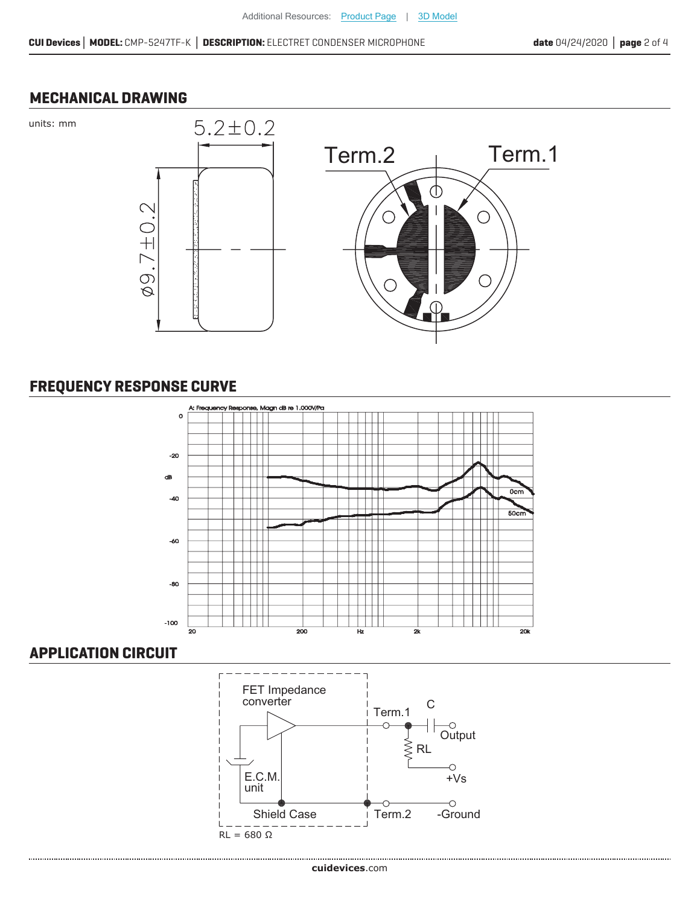#### **MECHANICAL DRAWING**

units: mm



## **FREQUENCY RESPONSE CURVE**



#### **APPLICATION CIRCUIT**

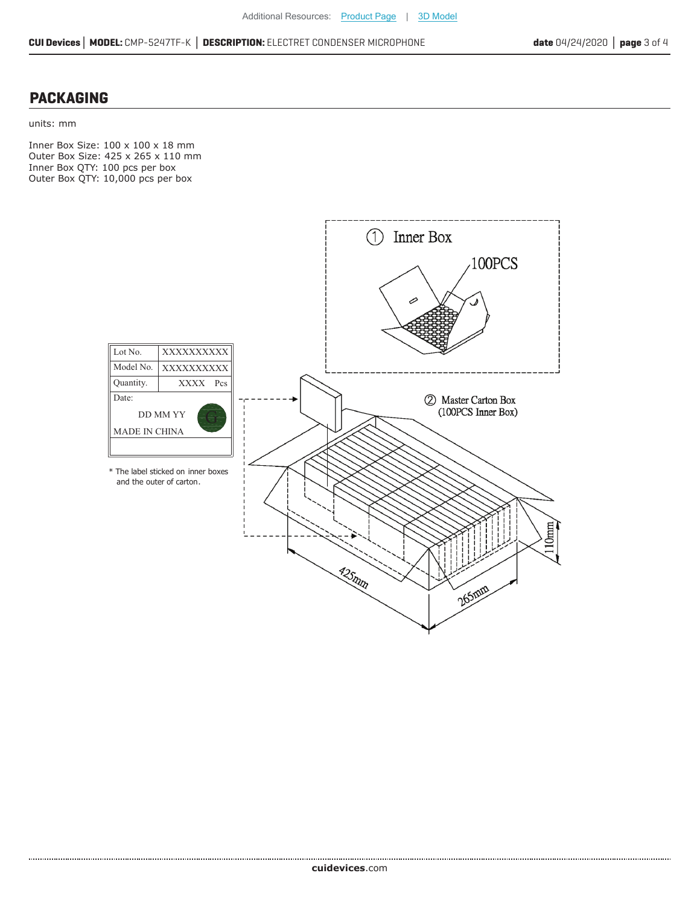#### **PACKAGING**

......................................

units: mm

Inner Box Size: 100 x 100 x 18 mm Outer Box Size: 425 x 265 x 110 mm Inner Box QTY: 100 pcs per box Outer Box QTY: 10,000 pcs per box